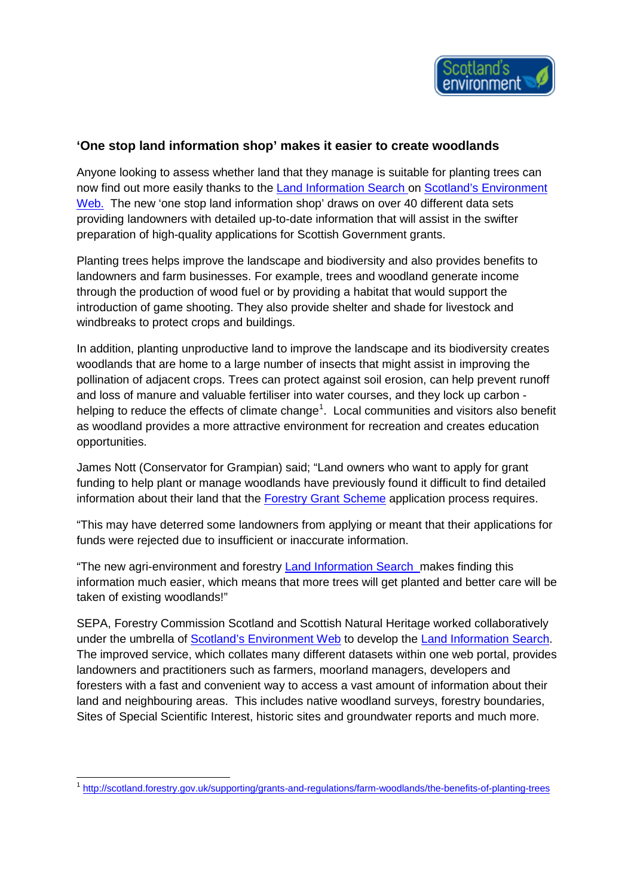

## **'One stop land information shop' makes it easier to create woodlands**

Anyone looking to assess whether land that they manage is suitable for planting trees can now find out more easily thanks to the [Land Information Search](http://www.environment.scotland.gov.uk/get-interactive/land-information-search/) on [Scotland's Environment](http://www.environment.scotland.gov.uk/)  [Web.](http://www.environment.scotland.gov.uk/) The new 'one stop land information shop' draws on over 40 different data sets providing landowners with detailed up-to-date information that will assist in the swifter preparation of high-quality applications for Scottish Government grants.

Planting trees helps improve the landscape and biodiversity and also provides benefits to landowners and farm businesses. For example, trees and woodland generate income through the production of wood fuel or by providing a habitat that would support the introduction of game shooting. They also provide shelter and shade for livestock and windbreaks to protect crops and buildings.

In addition, planting unproductive land to improve the landscape and its biodiversity creates woodlands that are home to a large number of insects that might assist in improving the pollination of adjacent crops. Trees can protect against soil erosion, can help prevent runoff and loss of manure and valuable fertiliser into water courses, and they lock up carbon - helping to reduce the effects of climate change<sup>[1](#page-0-0)</sup>. Local communities and visitors also benefit as woodland provides a more attractive environment for recreation and creates education opportunities.

James Nott (Conservator for Grampian) said; "Land owners who want to apply for grant funding to help plant or manage woodlands have previously found it difficult to find detailed information about their land that the [Forestry Grant Scheme](https://www.ruralpayments.org/publicsite/futures/topics/all-schemes/forestry-grant-scheme/forestry-co-operation/) application process requires.

"This may have deterred some landowners from applying or meant that their applications for funds were rejected due to insufficient or inaccurate information.

"The new agri-environment and forestry [Land Information Search](http://www.environment.scotland.gov.uk/get-interactive/land-information-search/) makes finding this information much easier, which means that more trees will get planted and better care will be taken of existing woodlands!"

SEPA, Forestry Commission Scotland and Scottish Natural Heritage worked collaboratively under the umbrella of [Scotland's Environment Web](http://www.environment.scotland.gov.uk/) to develop the [Land Information Search.](http://www.environment.scotland.gov.uk/get-interactive/land-information-search/) The improved service, which collates many different datasets within one web portal, provides landowners and practitioners such as farmers, moorland managers, developers and foresters with a fast and convenient way to access a vast amount of information about their land and neighbouring areas. This includes native woodland surveys, forestry boundaries, Sites of Special Scientific Interest, historic sites and groundwater reports and much more.

**.** 

<span id="page-0-0"></span><sup>&</sup>lt;sup>1</sup> <http://scotland.forestry.gov.uk/supporting/grants-and-regulations/farm-woodlands/the-benefits-of-planting-trees>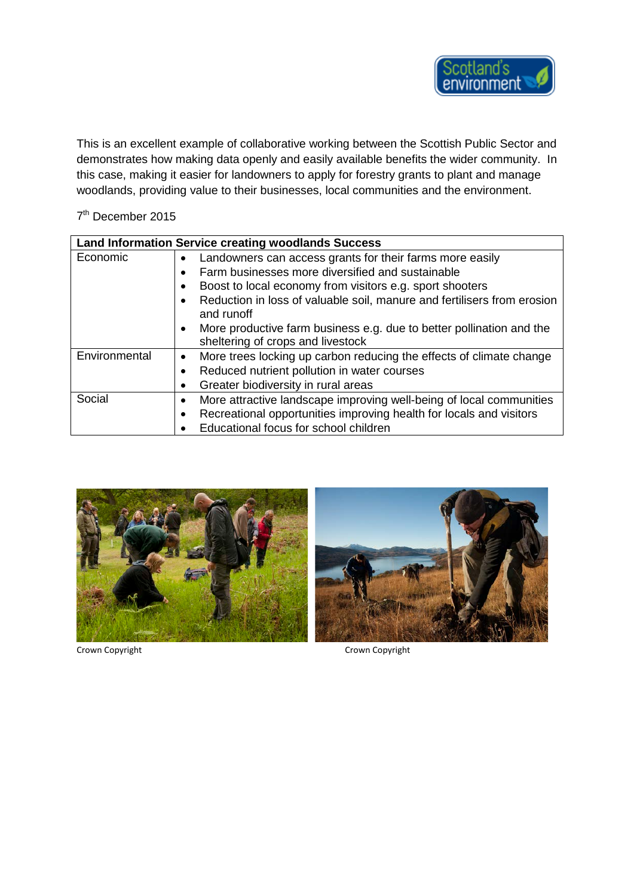

This is an excellent example of collaborative working between the Scottish Public Sector and demonstrates how making data openly and easily available benefits the wider community. In this case, making it easier for landowners to apply for forestry grants to plant and manage woodlands, providing value to their businesses, local communities and the environment.

## 7<sup>th</sup> December 2015

| <b>Land Information Service creating woodlands Success</b> |                                                                                       |
|------------------------------------------------------------|---------------------------------------------------------------------------------------|
| Economic                                                   | Landowners can access grants for their farms more easily<br>$\bullet$                 |
|                                                            | Farm businesses more diversified and sustainable                                      |
|                                                            | Boost to local economy from visitors e.g. sport shooters                              |
|                                                            | Reduction in loss of valuable soil, manure and fertilisers from erosion<br>and runoff |
|                                                            | More productive farm business e.g. due to better pollination and the                  |
|                                                            | sheltering of crops and livestock                                                     |
| Environmental                                              | More trees locking up carbon reducing the effects of climate change                   |
|                                                            | Reduced nutrient pollution in water courses                                           |
|                                                            | Greater biodiversity in rural areas                                                   |
| Social                                                     | More attractive landscape improving well-being of local communities                   |
|                                                            | Recreational opportunities improving health for locals and visitors                   |
|                                                            | Educational focus for school children                                                 |





Crown Copyright Crown Copyright